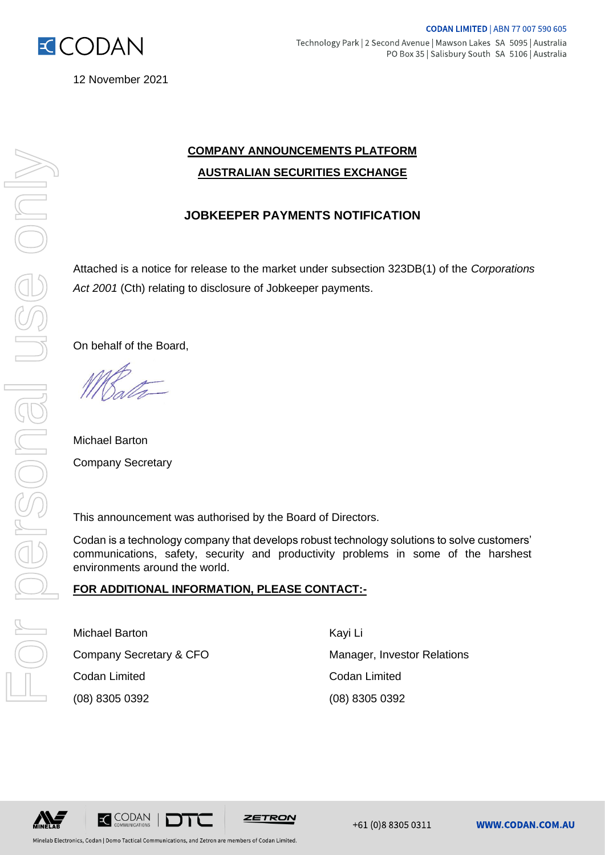

ISS ON

IBUCSCONS

12 November 2021

## **COMPANY ANNOUNCEMENTS PLATFORM AUSTRALIAN SECURITIES EXCHANGE**

### **JOBKEEPER PAYMENTS NOTIFICATION**

Attached is a notice for release to the market under subsection 323DB(1) of the *Corporations Act 2001* (Cth) relating to disclosure of Jobkeeper payments. For personal use only

On behalf of the Board,

Michael Barton Company Secretary

This announcement was authorised by the Board of Directors.

Codan is a technology company that develops robust technology solutions to solve customers' communications, safety, security and productivity problems in some of the harshest environments around the world.

### **FOR ADDITIONAL INFORMATION, PLEASE CONTACT:-**

Michael Barton **Kayi Liller** Kayi Liller Codan Limited Codan Limited (08) 8305 0392 (08) 8305 0392

Company Secretary & CFO Manager, Investor Relations





Minelab Electronics, Codan | Domo Tactical Communications, and Zetron are members of Codan Limited.